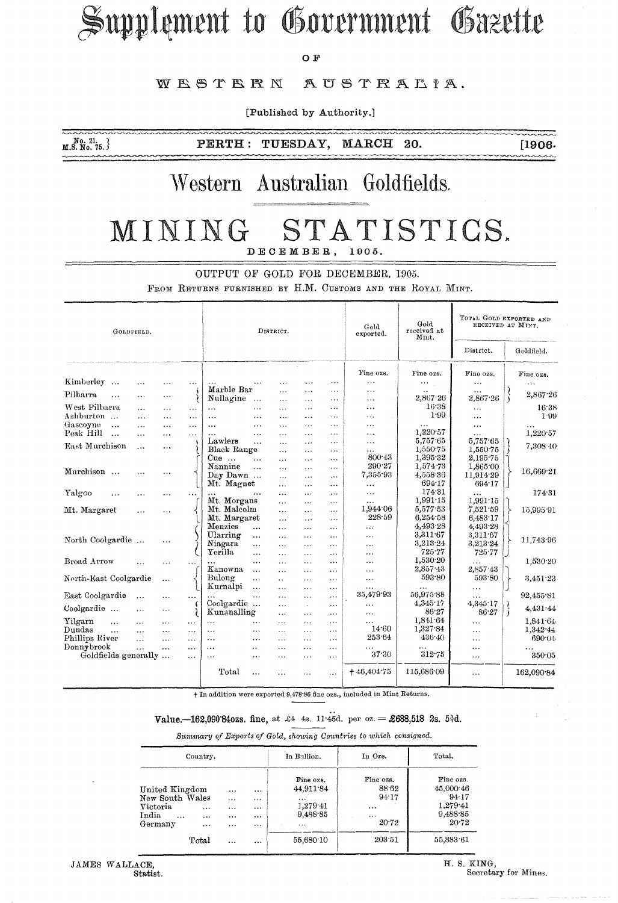# Supplement to Government Gazette

 $O$   $\mathbf{F}$ 

#### WESTERN AUSTRALIA.

[Published by Authority.]

20.

 $M$ ,  $S$ ,  $N$ <sub>0</sub>,  $75$ ,  $\}$ 

**TUESDAY,** MARCH **PERTH:** 

 $[1906]$ 

## Western Australian Goldfields.

#### STATISTICS. MINING DECEMBER, 1905.

OUTPUT OF GOLD FOR DECEMBER, 1905.

FROM RETURNS FURNISHED BY H.M. CUSTOMS AND THE ROYAL MINT.

| GOLDFIELD.                         |           |           |           | DISTRICT.                  |                      |                      |                    |                            | Gold<br>exported. | Gold<br>received at<br>Mint. | TOTAL GOLD EXPORTED AND<br>RECEIVED AT MINT. |            |
|------------------------------------|-----------|-----------|-----------|----------------------------|----------------------|----------------------|--------------------|----------------------------|-------------------|------------------------------|----------------------------------------------|------------|
|                                    |           |           | District. |                            |                      |                      |                    |                            |                   |                              | Goldfield.                                   |            |
|                                    |           |           |           |                            |                      |                      |                    |                            | Fine ozs.         | Fine ozs.                    | Fine ozs.                                    | Fine ozs.  |
| Kimberley<br>$\cdots$              | $\cdots$  |           |           |                            | .                    | $\cdots$             | .                  | $\ddots$                   | $\ddotsc$         | $\ldots$                     | $\cdots$                                     | $\ddotsc$  |
| Pilbarra<br>$\cdots$               | .         | $\cdots$  |           | Marble Bar                 |                      | $\cdots$             | $\cdots$           | $\cdots$                   | $\ddotsc$         | $\cdots$<br>2,867.26         | $\cdots$<br>2,867.26                         | 2,867.26   |
|                                    |           |           |           | Nullagine                  |                      | .                    | $\cdots$           | $\cdots$                   | $\cdots$          | 16.38                        |                                              |            |
| West Pilbarra                      | $\cdots$  | .         | $\cdots$  | $\mathcal{L}(\mathcal{L})$ | $\ddotsc$            | $\ddotsc$            | $\cdots$           | $\cdots$                   | $\cdots$          | 1.99                         | $\cdots$                                     | 16:38      |
| Ashburton                          | $\cdots$  | $\ddotsc$ | $\cdots$  | $\cdots$                   |                      | $\cdots$             | $\cdots$           | $\ddotsc$                  | .                 |                              | $\cdots$                                     | 1.99       |
| Gascoyne<br>$\ddotsc$<br>Peak Hill | $\cdots$  | $\cdots$  | $\cdots$  | $\cdots$                   | $\cdots$             | $\ddotsc$            | $\cdots$           | $\cdots$                   | $\cdots$          | .<br>1,220.57                | $\ddotsc$                                    |            |
| $\ddotsc$                          | $\cdots$  | $\cdots$  | $\cdots$  | $\cdots$<br>Lawlers        | $\ddotsc$            | $\cdots$             | $\cdots$           | $\cdots$                   | $\cdots$          | 5,757.65                     | $\ddotsc$<br>5,757.65                        | 1,220.57   |
| East Murchison                     | $\cdots$  | $\cdots$  |           | Black Range                | $\cdots$             | $\ddotsc$            | .<br>$\sim$ $\sim$ | $\cdots$<br>$\overline{a}$ | $\cdots$<br>.     | 1,550.75                     | 1,550.75                                     | 7,308 40   |
|                                    |           |           |           | $Cue$                      | $\ddotsc$            | $\cdots$             | $\cdots$           | $\cdots$                   | 800.43            | 1,395.32                     | 2,195.75                                     |            |
|                                    |           |           |           | Nannine                    | .                    | $\cdots$<br>$\cdots$ | $\ddotsc$          | $\cdots$                   | 290.27            | 1,574.73                     | 1,865.00                                     |            |
| Murchison<br>$\sim$                |           | $\cdot$   |           | Day Dawn                   |                      | $\ddotsc$            | $\cdots$           | $\ddotsc$                  | 7.355.93          | 4,558.36                     | 11,914.29                                    | 16,669 21  |
|                                    |           |           |           | Mt. Magnet                 |                      | $\cdots$             | $\ddotsc$          | $\cdots$                   | $\cdots$          | 694.17                       | 694.17                                       |            |
| Yalgoo                             |           |           | $\ddotsc$ | $\cdots$                   |                      | $\ldots$             | .                  | $\cdots$                   | $\cdots$          | 174.31                       | .                                            | 174.31     |
|                                    | .         | .         |           | Mt. Morgans                |                      | .                    | .                  | $\ldots$                   | $\cdots$          | 1,991.15                     | 1,991.15                                     |            |
| Mt. Margaret                       | $\cdots$  | $\ddotsc$ |           | Mt. Malcolm                |                      | $\cdots$             | $\cdots$           | $\cdots$                   | 1,944.06          | 5,577.53                     | 7,521.59                                     | 15,995.91  |
|                                    |           |           |           | Mt. Margaret               |                      | $\cdots$             | $\cdots$           | $\cdot$ $\cdot$            | 228.59            | 6,254.58                     | 6,483.17                                     |            |
|                                    |           |           |           | Menzies                    |                      | $\cdots$             | $\cdots$           | $\cdots$                   | .                 | 4,493.28                     | 4,493.28                                     |            |
|                                    |           |           |           | Ularring                   |                      | $\cdots$             | $\cdots$           | $\ddotsc$                  | $\cdots$          | 3,311.67                     | 3,311.67                                     |            |
| North Coolgardie                   |           | $\ddotsc$ |           | Niagara                    | $\ddotsc$            | .                    | $\cdots$           | $\cdots$                   | $\ddotsc$         | 3,213.24                     | 3.213.24                                     | 11,743.96  |
|                                    |           |           |           | Yerilla                    | $\cdots$             | .                    | $\cdots$           | $\cdots$                   | .                 | 725.77                       | 725.77                                       |            |
| Broad Arrow                        |           | .         | $\ddotsc$ |                            | $\cdots$             | $\cdots$             | $\overline{1}$     | $\ddotsc$                  | .                 | 1,530.20                     |                                              | 1,530.20   |
|                                    |           |           |           | Kanowna                    | $\ddotsc$            | $\cdots$             | $\cdots$           | $\cdots$                   | $\cdots$          | 2,857 43                     | 2,857.43                                     |            |
| North-East Coolgardie              |           | $\cdots$  |           | Bulong                     | $\ddotsc$            | $\mathbf{a}$         | $\cdots$           | $\cdots$                   | $\cdots$          | 593.80                       | 593.80                                       | 3,451.23   |
|                                    |           |           |           | Kurnalpi                   | $\ddotsc$            | $\cdots$             | $\cdots$           | $\cdots$                   | $\cdots$          | .                            | $\cdots$                                     |            |
| East Coolgardie                    | $\cdots$  | $\cdots$  | .         | $\cdots$                   | $\ddotsc$            | $\cdots$             | $\overline{a}$     | $\cdots$                   | 35,479.93         | 56,975.88                    | .                                            | 92,455.81  |
|                                    |           |           |           | Coolgardie                 |                      | $\cdots$             | $\sim$             | $\cdots$                   | .                 | 4.345.17                     | 4,345.17                                     |            |
| Coolgardie                         | $\cdots$  | $\ldots$  |           | Kunanalling                |                      | $\cdots$             | $\cdots$           | $\cdots$                   | $\cdots$          | 86.27                        | 86.27                                        | 4,431.44   |
| Yilgarn<br>$\ddotsc$               | $\cdots$  | $\cdots$  | $\cdots$  | $\ddotsc$                  | $\cdots$             | $\cdots$             | $\cdots$           | $\cdots$                   | .                 | 1,841.64                     |                                              | 1,841.64   |
| Dundas<br>$\ddotsc$                | $\cdots$  | $\cdots$  | $\cdots$  | $\ddotsc$                  |                      | $\cdots$             | $\cdots$           | $\cdots$                   | 14.60             | 1,327.84                     | $\cdots$                                     | 1,342.44   |
| Phillips River                     | $\ddotsc$ | $\cdots$  | $\cdots$  | $\cdots$                   | $\cdots$             |                      | $\cdots$           | $\cdots$                   | 253.64            | 436.40                       | $\cdots$                                     | 690.04     |
| Donnybrook                         | $\ddotsc$ | $\ddotsc$ | $\cdots$  | $\cdots$                   | $\ddot{\phantom{1}}$ | $\ddotsc$            | .                  | $\cdots$                   | $\cdots$          | $\cdots$                     | .                                            |            |
| Goldfields generally               |           |           | $\cdots$  | $\ddotsc$                  | $\ddotsc$            | $\cdot$ .            | $\cdots$           | $\ldots$                   | 37.30             | 312.75                       | $\cdots$                                     | 350.05     |
|                                    |           |           |           | Total                      | .                    | $\ddotsc$            | $\ddotsc$          | $\cdots$                   | $+46,404.75$      | 115,686.09                   | $\ddotsc$                                    | 162,090.84 |

+ In addition were exported 9,478.86 fine ozs., included in Mint Returns.

### Value. -162,090'840zs. fine, at £4 4s. 11.45d. per oz. = £688,518 2s. 5\d.

Summary of Exports of Gold, showing Countries to which consigned.

|                                                                               | Country,                         |                                          |                                                     | In Bullion.                                                    | In Ore.                                                      | Total.<br>Fine ozs.<br>45,000:46<br>94.17<br>1.279.41<br>9,488.85<br>20.72 |  |
|-------------------------------------------------------------------------------|----------------------------------|------------------------------------------|-----------------------------------------------------|----------------------------------------------------------------|--------------------------------------------------------------|----------------------------------------------------------------------------|--|
| United Kingdom<br>New South Wales<br>Victoria<br>India<br>$\cdots$<br>Germany | $\cdots$<br>$\cdots$<br>$\cdots$ | <br>$\cdots$<br>$\cdots$<br><br>$\cdots$ | <br>$\cdots$<br><br>$\cdots$<br>$\alpha$ , $\alpha$ | Fine ozs.<br>44.911.84<br><br>1,279.41<br>9.488.85<br>$\cdots$ | Fine ozs.<br>88.62<br>94.17<br>$\cdots$<br>$\cdots$<br>20.72 |                                                                            |  |
|                                                                               | Total                            | $\cdots$                                 | $\cdots$                                            | 55,680.10                                                      | 203.51                                                       | 55,883.61                                                                  |  |

H. S. KING, Secretary for Mines.